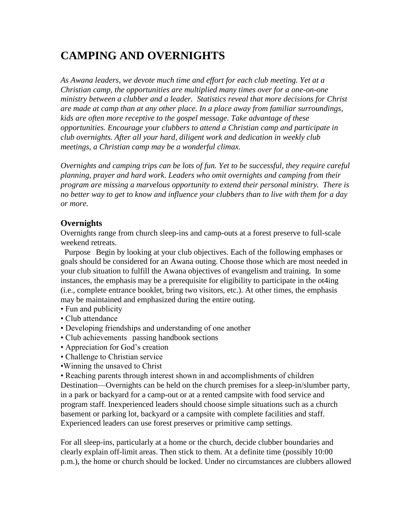# **CAMPING AND OVERNIGHTS**

*As Awana leaders, we devote much time and effort for each club meeting. Yet at a Christian camp, the opportunities are multiplied many times over for a one-on-one ministry between a clubber and a leader. Statistics reveal that more decisions for Christ are made at camp than at any other place. In a place away from familiar surroundings, kids are often more receptive to the gospel message. Take advantage of these opportunities. Encourage your clubbers to attend a Christian camp and participate in club overnights. After all your hard, diligent work and dedication in weekly club meetings, a Christian camp may be a wonderful climax.*

*Overnights and camping trips can be lots of fun. Yet to be successful, they require careful planning, prayer and hard work. Leaders who omit overnights and camping from their program are missing a marvelous opportunity to extend their personal ministry. There is no better way to get to know and influence your clubbers than to live with them for a day or more.*

### **Overnights**

Overnights range from church sleep-ins and camp-outs at a forest preserve to full-scale weekend retreats.

 Purpose — Begin by looking at your club objectives. Each of the following emphases or goals should be considered for an Awana outing. Choose those which are most needed in your club situation to fulfill the Awana objectives of evangelism and training. In some instances, the emphasis may be a prerequisite for eligibility to participate in the ot4ing (i.e., complete entrance booklet, bring two visitors, etc.). At other times, the emphasis may be maintained and emphasized during the entire outing.

- Fun and publicity
- Club attendance
- Developing friendships and understanding of one another
- Club achievements passing handbook sections
- Appreciation for God's creation
- Challenge to Christian service
- •Winning the unsaved to Christ

• Reaching parents through interest shown in and accomplishments of children Destination—Overnights can be held on the church premises for a sleep-in/slumber party, in a park or backyard for a camp-out or at a rented campsite with food service and program staff. Inexperienced leaders should choose simple situations such as a church basement or parking lot, backyard or a campsite with complete facilities and staff. Experienced leaders can use forest preserves or primitive camp settings.

For all sleep-ins, particularly at a home or the church, decide clubber boundaries and clearly explain off-limit areas. Then stick to them. At a definite time (possibly 10:00 p.m.), the home or church should be locked. Under no circumstances are clubbers allowed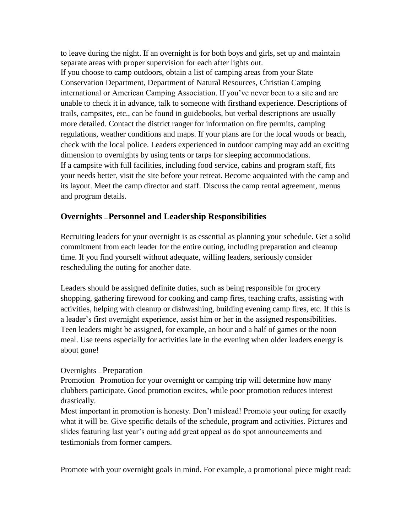to leave during the night. If an overnight is for both boys and girls, set up and maintain separate areas with proper supervision for each after lights out. If you choose to camp outdoors, obtain a list of camping areas from your State Conservation Department, Department of Natural Resources, Christian Camping international or American Camping Association. If you've never been to a site and are unable to check it in advance, talk to someone with firsthand experience. Descriptions of trails, campsites, etc., can be found in guidebooks, but verbal descriptions are usually more detailed. Contact the district ranger for information on fire permits, camping regulations, weather conditions and maps. If your plans are for the local woods or beach, check with the local police. Leaders experienced in outdoor camping may add an exciting dimension to overnights by using tents or tarps for sleeping accommodations. If a campsite with full facilities, including food service, cabins and program staff, fits your needs better, visit the site before your retreat. Become acquainted with the camp and its layout. Meet the camp director and staff. Discuss the camp rental agreement, menus and program details.

## **Overnights — Personnel and Leadership Responsibilities**

Recruiting leaders for your overnight is as essential as planning your schedule. Get a solid commitment from each leader for the entire outing, including preparation and cleanup time. If you find yourself without adequate, willing leaders, seriously consider rescheduling the outing for another date.

Leaders should be assigned definite duties, such as being responsible for grocery shopping, gathering firewood for cooking and camp fires, teaching crafts, assisting with activities, helping with cleanup or dishwashing, building evening camp fires, etc. If this is a leader's first overnight experience, assist him or her in the assigned responsibilities. Teen leaders might be assigned, for example, an hour and a half of games or the noon meal. Use teens especially for activities late in the evening when older leaders energy is about gone!

### Overnights — Preparation

Promotion — Promotion for your overnight or camping trip will determine how many clubbers participate. Good promotion excites, while poor promotion reduces interest drastically.

Most important in promotion is honesty. Don't mislead! Promote your outing for exactly what it will be. Give specific details of the schedule, program and activities. Pictures and slides featuring last year's outing add great appeal as do spot announcements and testimonials from former campers.

Promote with your overnight goals in mind. For example, a promotional piece might read: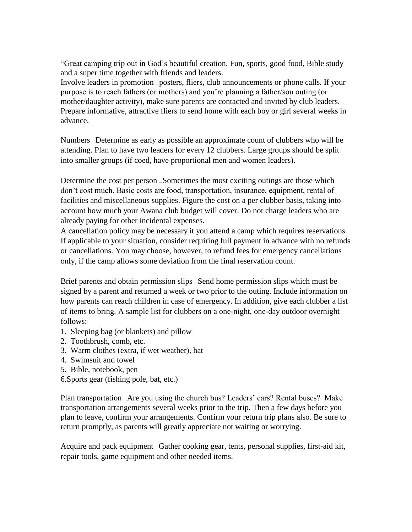"Great camping trip out in God's beautiful creation. Fun, sports, good food, Bible study and a super time together with friends and leaders.

Involve leaders in promotion — posters, fliers, club announcements or phone calls. If your purpose is to reach fathers (or mothers) and you're planning a father/son outing (or mother/daughter activity), make sure parents are contacted and invited by club leaders. Prepare informative, attractive fliers to send home with each boy or girl several weeks in advance.

Numbers — Determine as early as possible an approximate count of clubbers who will be attending. Plan to have two leaders for every 12 clubbers. Large groups should be split into smaller groups (if coed, have proportional men and women leaders).

Determine the cost per person — Sometimes the most exciting outings are those which don't cost much. Basic costs are food, transportation, insurance, equipment, rental of facilities and miscellaneous supplies. Figure the cost on a per clubber basis, taking into account how much your Awana club budget will cover. Do not charge leaders who are already paying for other incidental expenses.

A cancellation policy may be necessary it you attend a camp which requires reservations. If applicable to your situation, consider requiring full payment in advance with no refunds or cancellations. You may choose, however, to refund fees for emergency cancellations only, if the camp allows some deviation from the final reservation count.

Brief parents and obtain permission slips — Send home permission slips which must be signed by a parent and returned a week or two prior to the outing. Include information on how parents can reach children in case of emergency. In addition, give each clubber a list of items to bring. A sample list for clubbers on a one-night, one-day outdoor overnight follows:

- 1. Sleeping bag (or blankets) and pillow
- 2. Toothbrush, comb, etc.
- 3. Warm clothes (extra, if wet weather), hat
- 4. Swimsuit and towel
- 5. Bible, notebook, pen
- 6.Sports gear (fishing pole, bat, etc.)

Plan transportation — Are you using the church bus? Leaders' cars? Rental buses? Make transportation arrangements several weeks prior to the trip. Then a few days before you plan to leave, confirm your arrangements. Confirm your return trip plans also. Be sure to return promptly, as parents will greatly appreciate not waiting or worrying.

Acquire and pack equipment — Gather cooking gear, tents, personal supplies, first-aid kit, repair tools, game equipment and other needed items.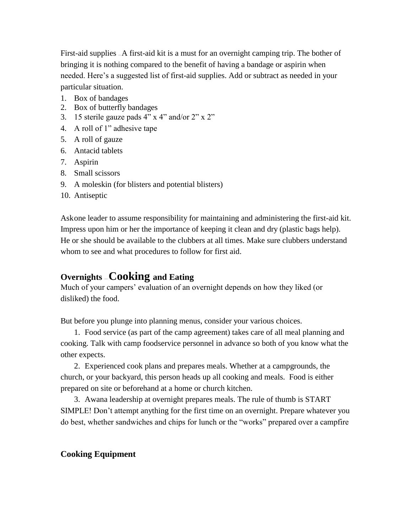First-aid supplies — A first-aid kit is a must for an overnight camping trip. The bother of bringing it is nothing compared to the benefit of having a bandage or aspirin when needed. Here's a suggested list of first-aid supplies. Add or subtract as needed in your particular situation.

- 1. Box of bandages
- 2. Box of butterfly bandages
- 3. 15 sterile gauze pads 4" x 4" and/or 2" x 2"
- 4. A roll of 1" adhesive tape
- 5. A roll of gauze
- 6. Antacid tablets
- 7. Aspirin
- 8. Small scissors
- 9. A moleskin (for blisters and potential blisters)
- 10. Antiseptic

Askone leader to assume responsibility for maintaining and administering the first-aid kit. Impress upon him or her the importance of keeping it clean and dry (plastic bags help). He or she should be available to the clubbers at all times. Make sure clubbers understand whom to see and what procedures to follow for first aid.

# **Overnights** — **Cooking and Eating**

Much of your campers' evaluation of an overnight depends on how they liked (or disliked) the food.

But before you plunge into planning menus, consider your various choices.

1. Food service (as part of the camp agreement) takes care of all meal planning and cooking. Talk with camp foodservice personnel in advance so both of you know what the other expects.

2. Experienced cook plans and prepares meals. Whether at a campgrounds, the church, or your backyard, this person heads up all cooking and meals. Food is either prepared on site or beforehand at a home or church kitchen.

3. Awana leadership at overnight prepares meals. The rule of thumb is START SIMPLE! Don't attempt anything for the first time on an overnight. Prepare whatever you do best, whether sandwiches and chips for lunch or the "works" prepared over a campfire

# **Cooking Equipment**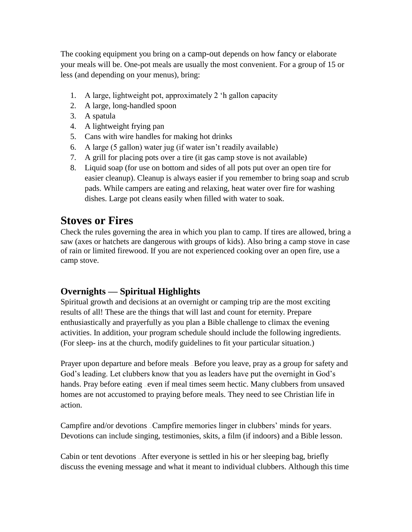The cooking equipment you bring on a camp-out depends on how fancy or elaborate your meals will be. One-pot meals are usually the most convenient. For a group of 15 or less (and depending on your menus), bring:

- 1. A large, lightweight pot, approximately 2 'h gallon capacity
- 2. A large, long-handled spoon
- 3. A spatula
- 4. A lightweight frying pan
- 5. Cans with wire handles for making hot drinks
- 6. A large (5 gallon) water jug (if water isn't readily available)
- 7. A grill for placing pots over a tire (it gas camp stove is not available)
- 8. Liquid soap (for use on bottom and sides of all pots put over an open tire for easier cleanup). Cleanup is always easier if you remember to bring soap and scrub pads. While campers are eating and relaxing, heat water over fire for washing dishes. Large pot cleans easily when filled with water to soak.

# **Stoves or Fires**

Check the rules governing the area in which you plan to camp. If tires are allowed, bring a saw (axes or hatchets are dangerous with groups of kids). Also bring a camp stove in case of rain or limited firewood. If you are not experienced cooking over an open fire, use a camp stove.

# **Overnights — Spiritual Highlights**

Spiritual growth and decisions at an overnight or camping trip are the most exciting results of all! These are the things that will last and count for eternity. Prepare enthusiastically and prayerfully as you plan a Bible challenge to climax the evening activities. In addition, your program schedule should include the following ingredients. (For sleep- ins at the church, modify guidelines to fit your particular situation.)

Prayer upon departure and before meals — Before you leave, pray as a group for safety and God's leading. Let clubbers know that you as leaders have put the overnight in God's hands. Pray before eating -even if meal times seem hectic. Many clubbers from unsaved homes are not accustomed to praying before meals. They need to see Christian life in action.

Campfire and/or devotions — Campfire memories linger in clubbers' minds for years. Devotions can include singing, testimonies, skits, a film (if indoors) and a Bible lesson.

Cabin or tent devotions — After everyone is settled in his or her sleeping bag, briefly discuss the evening message and what it meant to individual clubbers. Although this time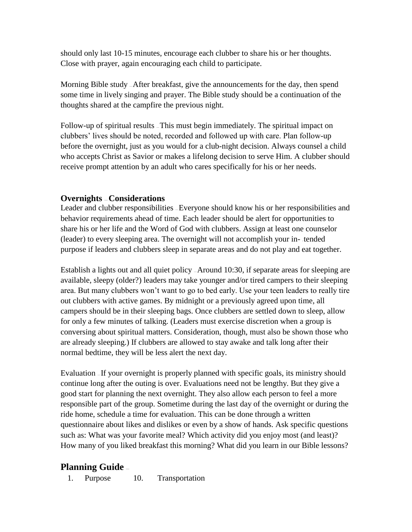should only last 10-15 minutes, encourage each clubber to share his or her thoughts. Close with prayer, again encouraging each child to participate.

Morning Bible study — After breakfast, give the announcements for the day, then spend some time in lively singing and prayer. The Bible study should be a continuation of the thoughts shared at the campfire the previous night.

Follow-up of spiritual results — This must begin immediately. The spiritual impact on clubbers' lives should be noted, recorded and followed up with care. Plan follow-up before the overnight, just as you would for a club-night decision. Always counsel a child who accepts Christ as Savior or makes a lifelong decision to serve Him. A clubber should receive prompt attention by an adult who cares specifically for his or her needs.

## **Overnights** — **Considerations**

Leader and clubber responsibilities — Everyone should know his or her responsibilities and behavior requirements ahead of time. Each leader should be alert for opportunities to share his or her life and the Word of God with clubbers. Assign at least one counselor (leader) to every sleeping area. The overnight will not accomplish your in- - tended purpose if leaders and clubbers sleep in separate areas and do not play and eat together.

Establish a lights out and all quiet policy — Around 10:30, if separate areas for sleeping are available, sleepy (older?) leaders may take younger and/or tired campers to their sleeping area. But many clubbers won't want to go to bed early. Use your teen leaders to really tire out clubbers with active games. By midnight or a previously agreed upon time, all campers should be in their sleeping bags. Once clubbers are settled down to sleep, allow for only a few minutes of talking. (Leaders must exercise discretion when a group is conversing about spiritual matters. Consideration, though, must also be shown those who are already sleeping.) If clubbers are allowed to stay awake and talk long after their normal bedtime, they will be less alert the next day.

Evaluation — If your overnight is properly planned with specific goals, its ministry should continue long after the outing is over. Evaluations need not be lengthy. But they give a good start for planning the next overnight. They also allow each person to feel a more responsible part of the group. Sometime during the last day of the overnight or during the ride home, schedule a time for evaluation. This can be done through a written questionnaire about likes and dislikes or even by a show of hands. Ask specific questions such as: What was your favorite meal? Which activity did you enjoy most (and least)? How many of you liked breakfast this morning? What did you learn in our Bible lessons?

## **Planning Guide** —

1. Purpose 10. Transportation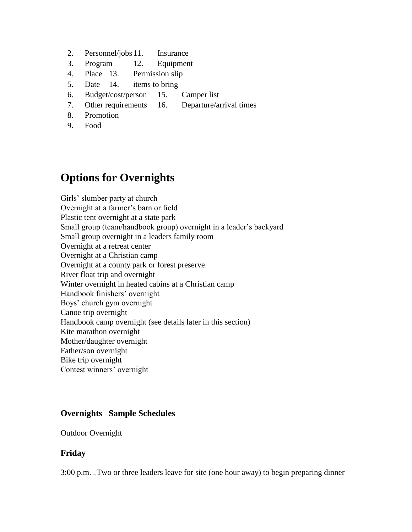- 2. Personnel/jobs11. Insurance
- 3. Program 12. Equipment
- 4. Place 13. Permission slip
- 5. Date 14. items to bring
- 6. Budget/cost/person 15. Camper list
- 7. Other requirements 16. Departure/arrival times
- 8. Promotion
- 9. Food

# **Options for Overnights**

Girls' slumber party at church Overnight at a farmer's barn or field Plastic tent overnight at a state park Small group (team/handbook group) overnight in a leader's backyard Small group overnight in a leaders family room Overnight at a retreat center Overnight at a Christian camp Overnight at a county park or forest preserve River float trip and overnight Winter overnight in heated cabins at a Christian camp Handbook finishers' overnight Boys' church gym overnight Canoe trip overnight Handbook camp overnight (see details later in this section) Kite marathon overnight Mother/daughter overnight Father/son overnight Bike trip overnight Contest winners' overnight

## **Overnights** — **Sample Schedules**

Outdoor Overnight

### **Friday**

3:00 p.m. — Two or three leaders leave for site (one hour away) to begin preparing dinner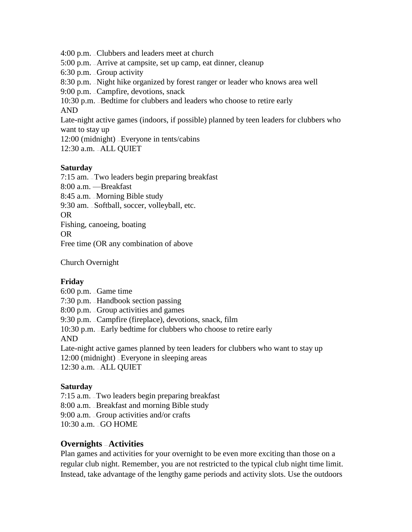4:00 p.m. — Clubbers and leaders meet at church 5:00 p.m. — Arrive at campsite, set up camp, eat dinner, cleanup 6:30 p.m. — Group activity 8:30 p.m. — Night hike organized by forest ranger or leader who knows area well 9:00 p.m. — Campfire, devotions, snack 10:30 p.m. — Bedtime for clubbers and leaders who choose to retire early AND Late-night active games (indoors, if possible) planned by teen leaders for clubbers who want to stay up 12:00 (midnight) — Everyone in tents/cabins 12:30 a.m. — ALL QUIET

#### **Saturday**

7:15 am. — Two leaders begin preparing breakfast 8:00 a.m. —Breakfast 8:45 a.m. — Morning Bible study 9:30 am. — Softball, soccer, volleyball, etc. OR Fishing, canoeing, boating OR Free time (OR any combination of above

Church Overnight

### **Friday**

6:00 p.m. — Game time 7:30 p.m. — Handbook section passing 8:00 p.m. — Group activities and games 9:30 p.m. — Campfire (fireplace), devotions, snack, film 10:30 p.m. — Early bedtime for clubbers who choose to retire early AND Late-night active games planned by teen leaders for clubbers who want to stay up 12:00 (midnight) — Everyone in sleeping areas

12:30 a.m. — ALL QUIET

### **Saturday**

7:15 a.m. — Two leaders begin preparing breakfast 8:00 a.m. — Breakfast and morning Bible study 9:00 a.m. — Group activities and/or crafts 10:30 a.m. — GO HOME

### **Overnights** — **Activities**

Plan games and activities for your overnight to be even more exciting than those on a regular club night. Remember, you are not restricted to the typical club night time limit. Instead, take advantage of the lengthy game periods and activity slots. Use the outdoors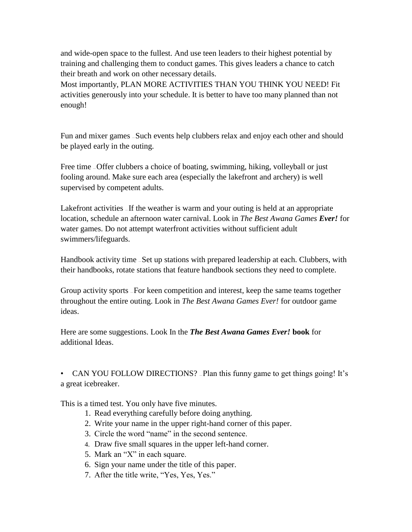and wide-open space to the fullest. And use teen leaders to their highest potential by training and challenging them to conduct games. This gives leaders a chance to catch their breath and work on other necessary details.

Most importantly, PLAN MORE ACTIVITIES THAN YOU THINK YOU NEED! Fit activities generously into your schedule. It is better to have too many planned than not enough!

Fun and mixer games — Such events help clubbers relax and enjoy each other and should be played early in the outing.

Free time – Offer clubbers a choice of boating, swimming, hiking, volleyball or just fooling around. Make sure each area (especially the lakefront and archery) is well supervised by competent adults.

Lakefront activities – If the weather is warm and your outing is held at an appropriate location, schedule an afternoon water carnival. Look in *The Best Awana Games Ever!* for water games. Do not attempt waterfront activities without sufficient adult swimmers/lifeguards.

Handbook activity time — Set up stations with prepared leadership at each. Clubbers, with their handbooks, rotate stations that feature handbook sections they need to complete.

Group activity sports — For keen competition and interest, keep the same teams together throughout the entire outing. Look in *The Best Awana Games Ever!* for outdoor game ideas.

Here are some suggestions. Look In the *The Best Awana Games Ever!* **book** for additional Ideas.

• CAN YOU FOLLOW DIRECTIONS? –Plan this funny game to get things going! It's a great icebreaker.

This is a timed test. You only have five minutes.

- 1. Read everything carefully before doing anything.
- 2. Write your name in the upper right-hand corner of this paper.
- 3. Circle the word "name" in the second sentence.
- 4. Draw five small squares in the upper left-hand corner.
- 5. Mark an "X" in each square.
- 6. Sign your name under the title of this paper.
- 7. After the title write, "Yes, Yes, Yes."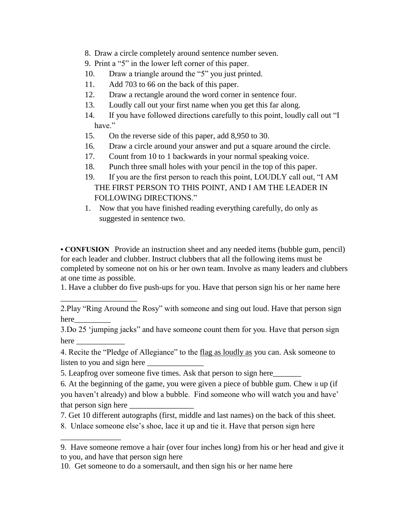- 8. Draw a circle completely around sentence number seven.
- 9. Print a "5" in the lower left corner of this paper.
- 10. Draw a triangle around the "5" you just printed.
- 11. Add 703 to 66 on the back of this paper.
- 12. Draw a rectangle around the word corner in sentence four.
- 13. Loudly call out your first name when you get this far along.
- 14. If you have followed directions carefully to this point, loudly call out "I have."
- 15. On the reverse side of this paper, add 8,950 to 30.
- 16. Draw a circle around your answer and put a square around the circle.
- 17. Count from 10 to 1 backwards in your normal speaking voice.
- 18. Punch three small holes with your pencil in the top of this paper.
- 19. If you are the first person to reach this point, LOUDLY call out, "I AM THE FIRST PERSON TO THIS POINT, AND I AM THE LEADER IN FOLLOWING DIRECTIONS."
- 1. Now that you have finished reading everything carefully, do only as suggested in sentence two.

• **CONFUSION** – Provide an instruction sheet and any needed items (bubble gum, pencil) for each leader and clubber. Instruct clubbers that all the following items must be completed by someone not on his or her own team. Involve as many leaders and clubbers at one time as possible.

1. Have a clubber do five push-ups for you. Have that person sign his or her name here

3.Do 25 'jumping jacks" and have someone count them for you. Have that person sign here  $\overline{\phantom{a}}$ 

4. Recite the "Pledge of Allegiance" to the flag as loudly as you can. Ask someone to listen to you and sign here

5. Leapfrog over someone five times. Ask that person to sign here\_\_\_\_\_\_\_

\_\_\_\_\_\_\_\_\_\_\_\_\_\_\_\_\_\_\_

\_\_\_\_\_\_\_\_\_\_\_\_\_\_\_

6. At the beginning of the game, you were given a piece of bubble gum. Chew it up (if you haven't already) and blow a bubble. Find someone who will watch you and have' that person sign here

- 7. Get 10 different autographs (first, middle and last names) on the back of this sheet.
- 8. Unlace someone else's shoe, lace it up and tie it. Have that person sign here

<sup>2.</sup>Play "Ring Around the Rosy" with someone and sing out loud. Have that person sign here\_\_\_\_\_\_\_\_\_

<sup>9.</sup> Have someone remove a hair (over four inches long) from his or her head and give it to you, and have that person sign here

<sup>10.</sup> Get someone to do a somersault, and then sign his or her name here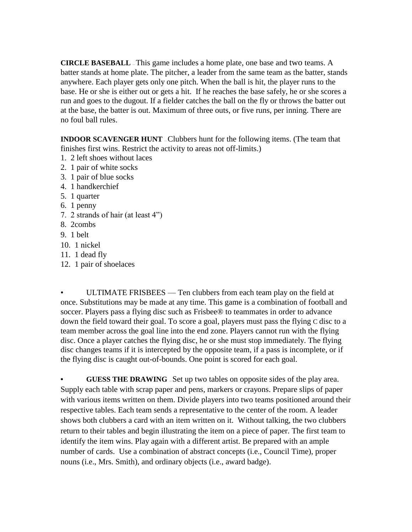**CIRCLE BASEBALL** — This game includes a home plate, one base and two teams. A batter stands at home plate. The pitcher, a leader from the same team as the batter, stands anywhere. Each player gets only one pitch. When the ball is hit, the player runs to the base. He or she is either out or gets a hit. If he reaches the base safely, he or she scores a run and goes to the dugout. If a fielder catches the ball on the fly or throws the batter out at the base, the batter is out. Maximum of three outs, or five runs, per inning. There are no foul ball rules.

**INDOOR SCAVENGER HUNT** – Clubbers hunt for the following items. (The team that finishes first wins. Restrict the activity to areas not off-limits.)

- 1. 2 left shoes without laces
- 2. 1 pair of white socks
- 3. 1 pair of blue socks
- 4. 1 handkerchief
- 5. 1 quarter
- 6. 1 penny
- 7. 2 strands of hair (at least 4")
- 8. 2combs
- 9. 1 belt
- 10. 1 nickel
- 11. 1 dead fly
- 12. 1 pair of shoelaces

• ULTIMATE FRISBEES — Ten clubbers from each team play on the field at once. Substitutions may be made at any time. This game is a combination of football and soccer. Players pass a flying disc such as Frisbee® to teammates in order to advance down the field toward their goal. To score a goal, players must pass the flying C disc to a team member across the goal line into the end zone. Players cannot run with the flying disc. Once a player catches the flying disc, he or she must stop immediately. The flying disc changes teams if it is intercepted by the opposite team, if a pass is incomplete, or if the flying disc is caught out-of-bounds. One point is scored for each goal.

**• GUESS THE DRAWING** — Set up two tables on opposite sides of the play area. Supply each table with scrap paper and pens, markers or crayons. Prepare slips of paper with various items written on them. Divide players into two teams positioned around their respective tables. Each team sends a representative to the center of the room. A leader shows both clubbers a card with an item written on it. Without talking, the two clubbers return to their tables and begin illustrating the item on a piece of paper. The first team to identify the item wins. Play again with a different artist. Be prepared with an ample number of cards. Use a combination of abstract concepts (i.e., Council Time), proper nouns (i.e., Mrs. Smith), and ordinary objects (i.e., award badge).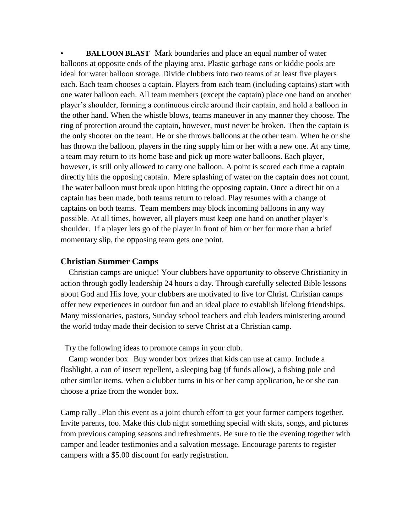**• BALLOON BLAST** — Mark boundaries and place an equal number of water balloons at opposite ends of the playing area. Plastic garbage cans or kiddie pools are ideal for water balloon storage. Divide clubbers into two teams of at least five players each. Each team chooses a captain. Players from each team (including captains) start with one water balloon each. All team members (except the captain) place one hand on another player's shoulder, forming a continuous circle around their captain, and hold a balloon in the other hand. When the whistle blows, teams maneuver in any manner they choose. The ring of protection around the captain, however, must never be broken. Then the captain is the only shooter on the team. He or she throws balloons at the other team. When he or she has thrown the balloon, players in the ring supply him or her with a new one. At any time, a team may return to its home base and pick up more water balloons. Each player, however, is still only allowed to carry one balloon. A point is scored each time a captain directly hits the opposing captain. Mere splashing of water on the captain does not count. The water balloon must break upon hitting the opposing captain. Once a direct hit on a captain has been made, both teams return to reload. Play resumes with a change of captains on both teams. Team members may block incoming balloons in any way possible. At all times, however, all players must keep one hand on another player's shoulder. If a player lets go of the player in front of him or her for more than a brief momentary slip, the opposing team gets one point.

#### **Christian Summer Camps**

 Christian camps are unique! Your clubbers have opportunity to observe Christianity in action through godly leadership 24 hours a day. Through carefully selected Bible lessons about God and His love, your clubbers are motivated to live for Christ. Christian camps offer new experiences in outdoor fun and an ideal place to establish lifelong friendships. Many missionaries, pastors, Sunday school teachers and club leaders ministering around the world today made their decision to serve Christ at a Christian camp.

Try the following ideas to promote camps in your club.

 Camp wonder box — Buy wonder box prizes that kids can use at camp. Include a flashlight, a can of insect repellent, a sleeping bag (if funds allow), a fishing pole and other similar items. When a clubber turns in his or her camp application, he or she can choose a prize from the wonder box.

Camp rally — Plan this event as a joint church effort to get your former campers together. Invite parents, too. Make this club night something special with skits, songs, and pictures from previous camping seasons and refreshments. Be sure to tie the evening together with camper and leader testimonies and a salvation message. Encourage parents to register campers with a \$5.00 discount for early registration.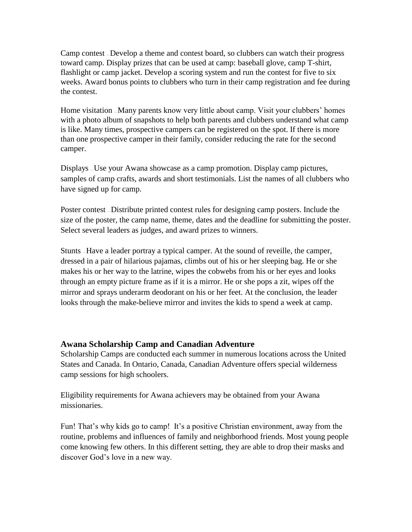Camp contest — Develop a theme and contest board, so clubbers can watch their progress toward camp. Display prizes that can be used at camp: baseball glove, camp T-shirt, flashlight or camp jacket. Develop a scoring system and run the contest for five to six weeks. Award bonus points to clubbers who turn in their camp registration and fee during the contest.

Home visitation — Many parents know very little about camp. Visit your clubbers' homes with a photo album of snapshots to help both parents and clubbers understand what camp is like. Many times, prospective campers can be registered on the spot. If there is more than one prospective camper in their family, consider reducing the rate for the second camper.

Displays — Use your Awana showcase as a camp promotion. Display camp pictures, samples of camp crafts, awards and short testimonials. List the names of all clubbers who have signed up for camp.

Poster contest — Distribute printed contest rules for designing camp posters. Include the size of the poster, the camp name, theme, dates and the deadline for submitting the poster. Select several leaders as judges, and award prizes to winners.

Stunts — Have a leader portray a typical camper. At the sound of reveille, the camper, dressed in a pair of hilarious pajamas, climbs out of his or her sleeping bag. He or she makes his or her way to the latrine, wipes the cobwebs from his or her eyes and looks through an empty picture frame as if it is a mirror. He or she pops a zit, wipes off the mirror and sprays underarm deodorant on his or her feet. At the conclusion, the leader looks through the make-believe mirror and invites the kids to spend a week at camp.

### **Awana Scholarship Camp and Canadian Adventure**

Scholarship Camps are conducted each summer in numerous locations across the United States and Canada. In Ontario, Canada, Canadian Adventure offers special wilderness camp sessions for high schoolers.

Eligibility requirements for Awana achievers may be obtained from your Awana missionaries.

Fun! That's why kids go to camp! It's a positive Christian environment, away from the routine, problems and influences of family and neighborhood friends. Most young people come knowing few others. In this different setting, they are able to drop their masks and discover God's love in a new way.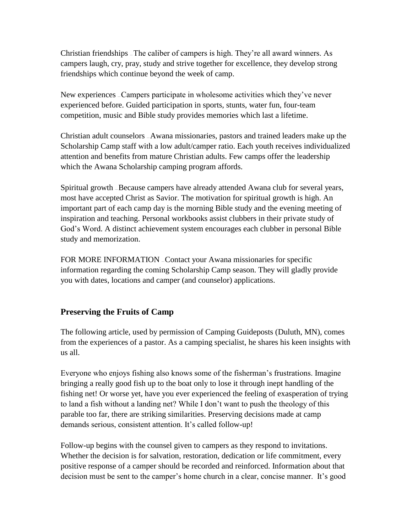Christian friendships — The caliber of campers is high. They're all award winners. As campers laugh, cry, pray, study and strive together for excellence, they develop strong friendships which continue beyond the week of camp.

New experiences — Campers participate in wholesome activities which they've never experienced before. Guided participation in sports, stunts, water fun, four-team competition, music and Bible study provides memories which last a lifetime.

Christian adult counselors — Awana missionaries, pastors and trained leaders make up the Scholarship Camp staff with a low adult/camper ratio. Each youth receives individualized attention and benefits from mature Christian adults. Few camps offer the leadership which the Awana Scholarship camping program affords.

Spiritual growth — Because campers have already attended Awana club for several years, most have accepted Christ as Savior. The motivation for spiritual growth is high. An important part of each camp day is the morning Bible study and the evening meeting of inspiration and teaching. Personal workbooks assist clubbers in their private study of God's Word. A distinct achievement system encourages each clubber in personal Bible study and memorization.

FOR MORE INFORMATION - Contact your Awana missionaries for specific information regarding the coming Scholarship Camp season. They will gladly provide you with dates, locations and camper (and counselor) applications.

## **Preserving the Fruits of Camp**

The following article, used by permission of Camping Guideposts (Duluth, MN), comes from the experiences of a pastor. As a camping specialist, he shares his keen insights with us all.

Everyone who enjoys fishing also knows some of the fisherman's frustrations. Imagine bringing a really good fish up to the boat only to lose it through inept handling of the fishing net! Or worse yet, have you ever experienced the feeling of exasperation of trying to land a fish without a landing net? While I don't want to push the theology of this parable too far, there are striking similarities. Preserving decisions made at camp demands serious, consistent attention. It's called follow-up!

Follow-up begins with the counsel given to campers as they respond to invitations. Whether the decision is for salvation, restoration, dedication or life commitment, every positive response of a camper should be recorded and reinforced. Information about that decision must be sent to the camper's home church in a clear, concise manner. It's good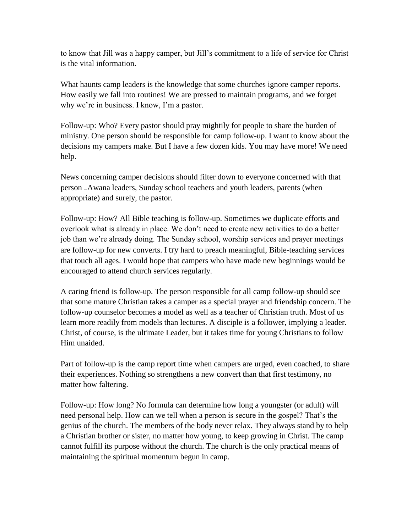to know that Jill was a happy camper, but Jill's commitment to a life of service for Christ is the vital information.

What haunts camp leaders is the knowledge that some churches ignore camper reports. How easily we fall into routines! We are pressed to maintain programs, and we forget why we're in business. I know, I'm a pastor.

Follow-up: Who? Every pastor should pray mightily for people to share the burden of ministry. One person should be responsible for camp follow-up. I want to know about the decisions my campers make. But I have a few dozen kids. You may have more! We need help.

News concerning camper decisions should filter down to everyone concerned with that person — Awana leaders, Sunday school teachers and youth leaders, parents (when appropriate) and surely, the pastor.

Follow-up: How? All Bible teaching is follow-up. Sometimes we duplicate efforts and overlook what is already in place. We don't need to create new activities to do a better job than we're already doing. The Sunday school, worship services and prayer meetings are follow-up for new converts. I try hard to preach meaningful, Bible-teaching services that touch all ages. I would hope that campers who have made new beginnings would be encouraged to attend church services regularly.

A caring friend is follow-up. The person responsible for all camp follow-up should see that some mature Christian takes a camper as a special prayer and friendship concern. The follow-up counselor becomes a model as well as a teacher of Christian truth. Most of us learn more readily from models than lectures. A disciple is a follower, implying a leader. Christ, of course, is the ultimate Leader, but it takes time for young Christians to follow Him unaided.

Part of follow-up is the camp report time when campers are urged, even coached, to share their experiences. Nothing so strengthens a new convert than that first testimony, no matter how faltering.

Follow-up: How long? No formula can determine how long a youngster (or adult) will need personal help. How can we tell when a person is secure in the gospel? That's the genius of the church. The members of the body never relax. They always stand by to help a Christian brother or sister, no matter how young, to keep growing in Christ. The camp cannot fulfill its purpose without the church. The church is the only practical means of maintaining the spiritual momentum begun in camp.